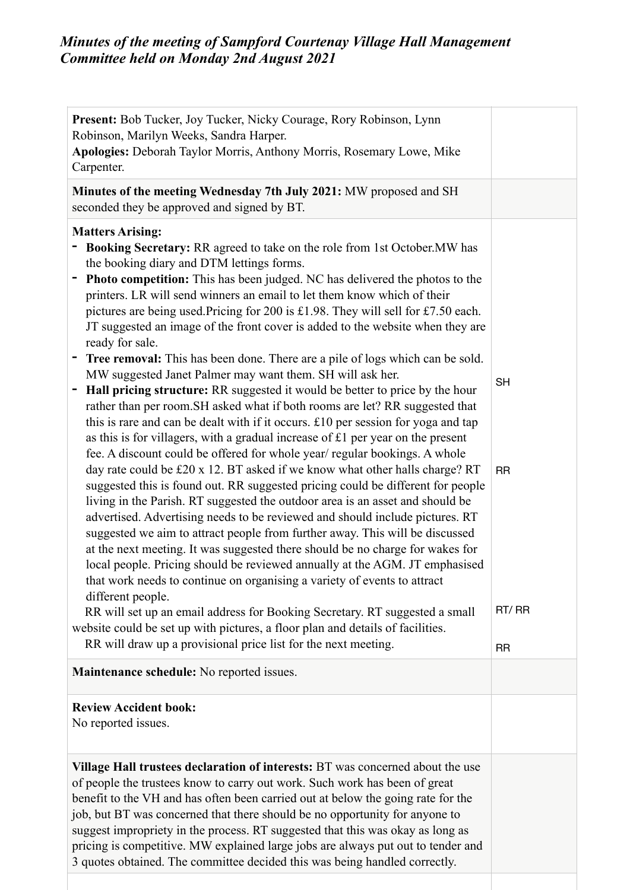| <b>Present:</b> Bob Tucker, Joy Tucker, Nicky Courage, Rory Robinson, Lynn<br>Robinson, Marilyn Weeks, Sandra Harper.<br>Apologies: Deborah Taylor Morris, Anthony Morris, Rosemary Lowe, Mike<br>Carpenter.                                                                                                                                                                                                                                                                                                                                                                                                                                                                                                                                                                                                                                                                                                                                                                                                                                                                                                                                                                                                                                                                                                                                                                                                                                                                                                                                                                                                                                                                                                                                                                                                                                                                                                                                                                                                        |                                              |
|---------------------------------------------------------------------------------------------------------------------------------------------------------------------------------------------------------------------------------------------------------------------------------------------------------------------------------------------------------------------------------------------------------------------------------------------------------------------------------------------------------------------------------------------------------------------------------------------------------------------------------------------------------------------------------------------------------------------------------------------------------------------------------------------------------------------------------------------------------------------------------------------------------------------------------------------------------------------------------------------------------------------------------------------------------------------------------------------------------------------------------------------------------------------------------------------------------------------------------------------------------------------------------------------------------------------------------------------------------------------------------------------------------------------------------------------------------------------------------------------------------------------------------------------------------------------------------------------------------------------------------------------------------------------------------------------------------------------------------------------------------------------------------------------------------------------------------------------------------------------------------------------------------------------------------------------------------------------------------------------------------------------|----------------------------------------------|
| Minutes of the meeting Wednesday 7th July 2021: MW proposed and SH<br>seconded they be approved and signed by BT.                                                                                                                                                                                                                                                                                                                                                                                                                                                                                                                                                                                                                                                                                                                                                                                                                                                                                                                                                                                                                                                                                                                                                                                                                                                                                                                                                                                                                                                                                                                                                                                                                                                                                                                                                                                                                                                                                                   |                                              |
| <b>Matters Arising:</b><br>Booking Secretary: RR agreed to take on the role from 1st October. MW has<br>the booking diary and DTM lettings forms.<br><b>Photo competition:</b> This has been judged. NC has delivered the photos to the<br>printers. LR will send winners an email to let them know which of their<br>pictures are being used. Pricing for 200 is £1.98. They will sell for £7.50 each.<br>JT suggested an image of the front cover is added to the website when they are<br>ready for sale.<br><b>Tree removal:</b> This has been done. There are a pile of logs which can be sold.<br>۳<br>MW suggested Janet Palmer may want them. SH will ask her.<br>Hall pricing structure: RR suggested it would be better to price by the hour<br>rather than per room. SH asked what if both rooms are let? RR suggested that<br>this is rare and can be dealt with if it occurs. £10 per session for yoga and tap<br>as this is for villagers, with a gradual increase of £1 per year on the present<br>fee. A discount could be offered for whole year/ regular bookings. A whole<br>day rate could be £20 x 12. BT asked if we know what other halls charge? RT<br>suggested this is found out. RR suggested pricing could be different for people<br>living in the Parish. RT suggested the outdoor area is an asset and should be<br>advertised. Advertising needs to be reviewed and should include pictures. RT<br>suggested we aim to attract people from further away. This will be discussed<br>at the next meeting. It was suggested there should be no charge for wakes for<br>local people. Pricing should be reviewed annually at the AGM. JT emphasised<br>that work needs to continue on organising a variety of events to attract<br>different people.<br>RR will set up an email address for Booking Secretary. RT suggested a small<br>website could be set up with pictures, a floor plan and details of facilities.<br>RR will draw up a provisional price list for the next meeting. | <b>SH</b><br><b>RR</b><br>RT/RR<br><b>RR</b> |
| Maintenance schedule: No reported issues.                                                                                                                                                                                                                                                                                                                                                                                                                                                                                                                                                                                                                                                                                                                                                                                                                                                                                                                                                                                                                                                                                                                                                                                                                                                                                                                                                                                                                                                                                                                                                                                                                                                                                                                                                                                                                                                                                                                                                                           |                                              |
| <b>Review Accident book:</b><br>No reported issues.                                                                                                                                                                                                                                                                                                                                                                                                                                                                                                                                                                                                                                                                                                                                                                                                                                                                                                                                                                                                                                                                                                                                                                                                                                                                                                                                                                                                                                                                                                                                                                                                                                                                                                                                                                                                                                                                                                                                                                 |                                              |
| Village Hall trustees declaration of interests: BT was concerned about the use<br>of people the trustees know to carry out work. Such work has been of great<br>benefit to the VH and has often been carried out at below the going rate for the<br>job, but BT was concerned that there should be no opportunity for anyone to<br>suggest impropriety in the process. RT suggested that this was okay as long as<br>pricing is competitive. MW explained large jobs are always put out to tender and<br>3 quotes obtained. The committee decided this was being handled correctly.                                                                                                                                                                                                                                                                                                                                                                                                                                                                                                                                                                                                                                                                                                                                                                                                                                                                                                                                                                                                                                                                                                                                                                                                                                                                                                                                                                                                                                 |                                              |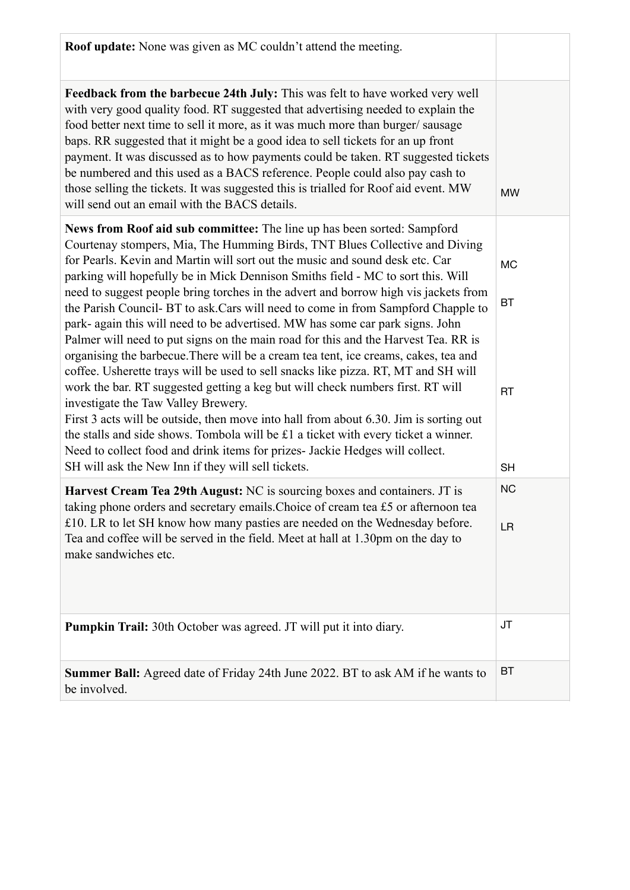| <b>Roof update:</b> None was given as MC couldn't attend the meeting.                                                                                                                                                                                                                                                                                                                                                                                                                                                                                                                                                                                                                                                                                                                                                                                                                                                                                                                                                                                                                                                                                                                                                                                                                                   |                                                  |
|---------------------------------------------------------------------------------------------------------------------------------------------------------------------------------------------------------------------------------------------------------------------------------------------------------------------------------------------------------------------------------------------------------------------------------------------------------------------------------------------------------------------------------------------------------------------------------------------------------------------------------------------------------------------------------------------------------------------------------------------------------------------------------------------------------------------------------------------------------------------------------------------------------------------------------------------------------------------------------------------------------------------------------------------------------------------------------------------------------------------------------------------------------------------------------------------------------------------------------------------------------------------------------------------------------|--------------------------------------------------|
| Feedback from the barbecue 24th July: This was felt to have worked very well<br>with very good quality food. RT suggested that advertising needed to explain the<br>food better next time to sell it more, as it was much more than burger/sausage<br>baps. RR suggested that it might be a good idea to sell tickets for an up front<br>payment. It was discussed as to how payments could be taken. RT suggested tickets<br>be numbered and this used as a BACS reference. People could also pay cash to<br>those selling the tickets. It was suggested this is trialled for Roof aid event. MW<br>will send out an email with the BACS details.                                                                                                                                                                                                                                                                                                                                                                                                                                                                                                                                                                                                                                                      | <b>MW</b>                                        |
| News from Roof aid sub committee: The line up has been sorted: Sampford<br>Courtenay stompers, Mia, The Humming Birds, TNT Blues Collective and Diving<br>for Pearls. Kevin and Martin will sort out the music and sound desk etc. Car<br>parking will hopefully be in Mick Dennison Smiths field - MC to sort this. Will<br>need to suggest people bring torches in the advert and borrow high vis jackets from<br>the Parish Council- BT to ask. Cars will need to come in from Sampford Chapple to<br>park- again this will need to be advertised. MW has some car park signs. John<br>Palmer will need to put signs on the main road for this and the Harvest Tea. RR is<br>organising the barbecue. There will be a cream tea tent, ice creams, cakes, tea and<br>coffee. Usherette trays will be used to sell snacks like pizza. RT, MT and SH will<br>work the bar. RT suggested getting a keg but will check numbers first. RT will<br>investigate the Taw Valley Brewery.<br>First 3 acts will be outside, then move into hall from about 6.30. Jim is sorting out<br>the stalls and side shows. Tombola will be £1 a ticket with every ticket a winner.<br>Need to collect food and drink items for prizes- Jackie Hedges will collect.<br>SH will ask the New Inn if they will sell tickets. | <b>MC</b><br><b>BT</b><br><b>RT</b><br><b>SH</b> |
| Harvest Cream Tea 29th August: NC is sourcing boxes and containers. JT is<br>taking phone orders and secretary emails. Choice of cream tea £5 or afternoon tea<br>£10. LR to let SH know how many pasties are needed on the Wednesday before.<br>Tea and coffee will be served in the field. Meet at hall at 1.30pm on the day to<br>make sandwiches etc.                                                                                                                                                                                                                                                                                                                                                                                                                                                                                                                                                                                                                                                                                                                                                                                                                                                                                                                                               | <b>NC</b><br><b>LR</b>                           |
| <b>Pumpkin Trail:</b> 30th October was agreed. JT will put it into diary.                                                                                                                                                                                                                                                                                                                                                                                                                                                                                                                                                                                                                                                                                                                                                                                                                                                                                                                                                                                                                                                                                                                                                                                                                               | <b>JT</b>                                        |
| <b>Summer Ball:</b> Agreed date of Friday 24th June 2022. BT to ask AM if he wants to<br>be involved.                                                                                                                                                                                                                                                                                                                                                                                                                                                                                                                                                                                                                                                                                                                                                                                                                                                                                                                                                                                                                                                                                                                                                                                                   | <b>BT</b>                                        |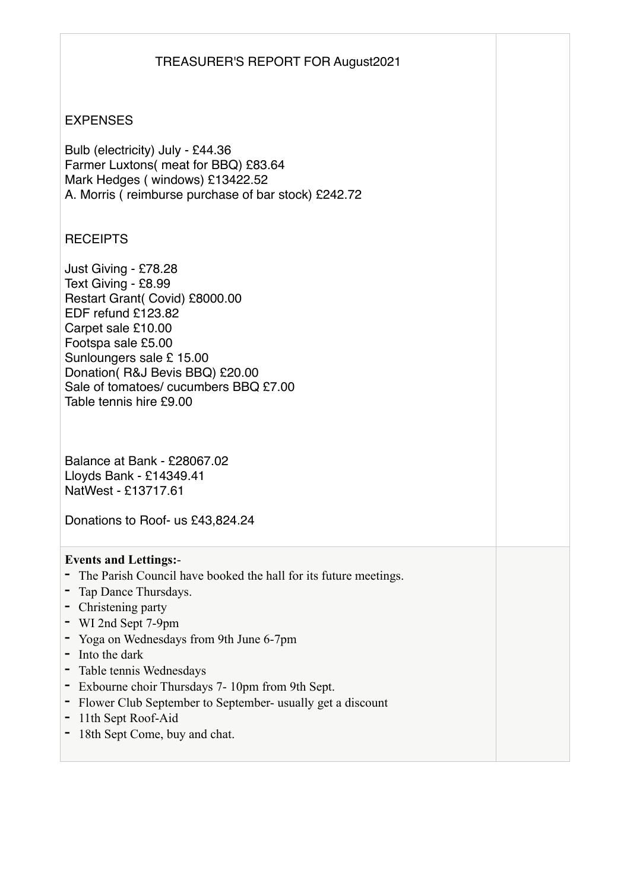## TREASURER'S REPORT FOR August2021

## EXPENSES

Bulb (electricity) July - £44.36 Farmer Luxtons( meat for BBQ) £83.64 Mark Hedges ( windows) £13422.52 A. Morris ( reimburse purchase of bar stock) £242.72

## **RECEIPTS**

Just Giving - £78.28 Text Giving - £8.99 Restart Grant( Covid) £8000.00 EDF refund £123.82 Carpet sale £10.00 Footspa sale £5.00 Sunloungers sale £ 15.00 Donation( R&J Bevis BBQ) £20.00 Sale of tomatoes/ cucumbers BBQ £7.00 Table tennis hire £9.00

Balance at Bank - £28067.02 Lloyds Bank - £14349.41 NatWest - £13717.61

Donations to Roof- us £43,824.24

## **Events and Lettings:**-

- **-** The Parish Council have booked the hall for its future meetings.
- **-** Tap Dance Thursdays.
- **-** Christening party
- **-** WI 2nd Sept 7-9pm
- **-** Yoga on Wednesdays from 9th June 6-7pm
- **-** Into the dark
- **-** Table tennis Wednesdays
- **-** Exbourne choir Thursdays 7- 10pm from 9th Sept.
- **-** Flower Club September to September- usually get a discount
- **-** 11th Sept Roof-Aid
- **-** 18th Sept Come, buy and chat.